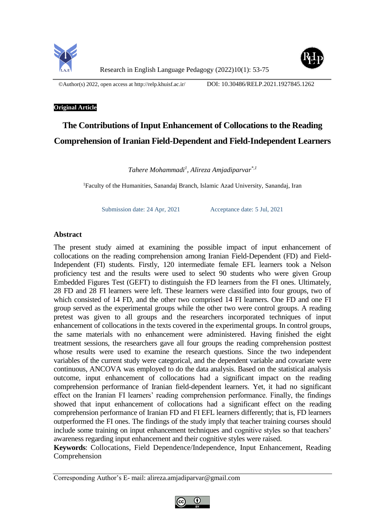

©Author(s) 2022, open access at<http://relp.khuisf.ac.ir/>DOI: 10.30486/RELP.2021.1927845.1262

# **Original Article**

# **The Contributions of Input Enhancement of Collocations to the Reading Comprehension of Iranian Field-Dependent and Field-Independent Learners**

*Tahere Mohammadi<sup>1</sup> , Alireza Amjadiparvar\*,1*

<sup>1</sup>Faculty of the Humanities, Sanandaj Branch, Islamic Azad University, Sanandaj, Iran

Submission date: 24 Apr, 2021 Acceptance date: 5 Jul, 2021

# **Abstract**

The present study aimed at examining the possible impact of input enhancement of collocations on the reading comprehension among Iranian Field-Dependent (FD) and Field-Independent (FI) students. Firstly, 120 intermediate female EFL learners took a Nelson proficiency test and the results were used to select 90 students who were given Group Embedded Figures Test (GEFT) to distinguish the FD learners from the FI ones. Ultimately, 28 FD and 28 FI learners were left. These learners were classified into four groups, two of which consisted of 14 FD, and the other two comprised 14 FI learners. One FD and one FI group served as the experimental groups while the other two were control groups. A reading pretest was given to all groups and the researchers incorporated techniques of input enhancement of collocations in the texts covered in the experimental groups. In control groups, the same materials with no enhancement were administered. Having finished the eight treatment sessions, the researchers gave all four groups the reading comprehension posttest whose results were used to examine the research questions. Since the two independent variables of the current study were categorical, and the dependent variable and covariate were continuous, ANCOVA was employed to do the data analysis. Based on the statistical analysis outcome, input enhancement of collocations had a significant impact on the reading comprehension performance of Iranian field-dependent learners. Yet, it had no significant effect on the Iranian FI learners' reading comprehension performance. Finally, the findings showed that input enhancement of collocations had a significant effect on the reading comprehension performance of Iranian FD and FI EFL learners differently; that is, FD learners outperformed the FI ones. The findings of the study imply that teacher training courses should include some training on input enhancement techniques and cognitive styles so that teachers' awareness regarding input enhancement and their cognitive styles were raised.

**Keywords**: Collocations, Field Dependence/Independence, Input Enhancement, Reading Comprehension

Corresponding Author's E- mail: alireza.amjadiparvar@gmail.com

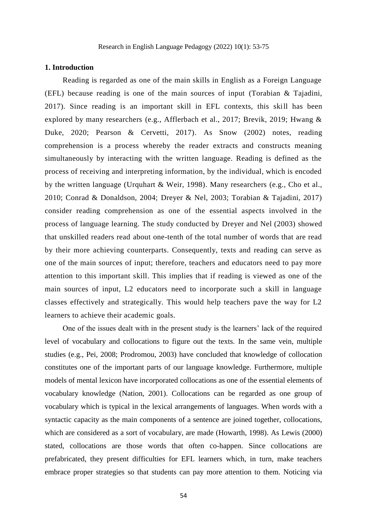#### **1. Introduction**

Reading is regarded as one of the main skills in English as a Foreign Language (EFL) because reading is one of the main sources of input (Torabian & Tajadini, 2017). Since reading is an important skill in EFL contexts, this skill has been explored by many researchers (e.g., Afflerbach et al., 2017; Brevik, 2019; Hwang & Duke, 2020; Pearson & Cervetti, 2017). As Snow (2002) notes, reading comprehension is a process whereby the reader extracts and constructs meaning simultaneously by interacting with the written language. Reading is defined as the process of receiving and interpreting information, by the individual, which is encoded by the written language (Urquhart & Weir, 1998). Many researchers (e.g., Cho et al., 2010; Conrad & Donaldson, 2004; Dreyer & Nel, 2003; Torabian & Tajadini, 2017) consider reading comprehension as one of the essential aspects involved in the process of language learning. The study conducted by Dreyer and Nel (2003) showed that unskilled readers read about one-tenth of the total number of words that are read by their more achieving counterparts. Consequently, texts and reading can serve as one of the main sources of input; therefore, teachers and educators need to pay more attention to this important skill. This implies that if reading is viewed as one of the main sources of input, L2 educators need to incorporate such a skill in language classes effectively and strategically. This would help teachers pave the way for L2 learners to achieve their academic goals.

One of the issues dealt with in the present study is the learners' lack of the required level of vocabulary and collocations to figure out the texts. In the same vein, multiple studies (e.g., Pei, 2008; Prodromou, 2003) have concluded that knowledge of collocation constitutes one of the important parts of our language knowledge. Furthermore, multiple models of mental lexicon have incorporated collocations as one of the essential elements of vocabulary knowledge (Nation, 2001). Collocations can be regarded as one group of vocabulary which is typical in the lexical arrangements of languages. When words with a syntactic capacity as the main components of a sentence are joined together, collocations, which are considered as a sort of vocabulary, are made (Howarth, 1998). As Lewis (2000) stated, collocations are those words that often co-happen. Since collocations are prefabricated, they present difficulties for EFL learners which, in turn, make teachers embrace proper strategies so that students can pay more attention to them. Noticing via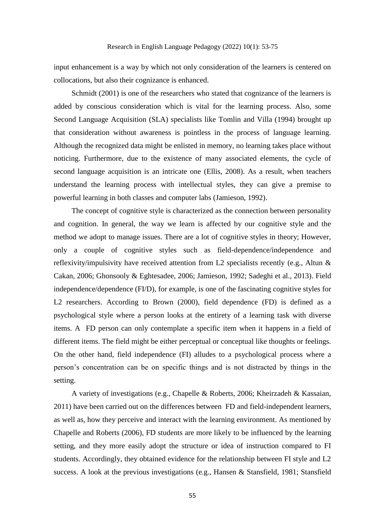input enhancement is a way by which not only consideration of the learners is centered on collocations, but also their cognizance is enhanced.

Schmidt (2001) is one of the researchers who stated that cognizance of the learners is added by conscious consideration which is vital for the learning process. Also, some Second Language Acquisition (SLA) specialists like Tomlin and Villa (1994) brought up that consideration without awareness is pointless in the process of language learning. Although the recognized data might be enlisted in memory, no learning takes place without noticing. Furthermore, due to the existence of many associated elements, the cycle of second language acquisition is an intricate one (Ellis, 2008). As a result, when teachers understand the learning process with intellectual styles, they can give a premise to powerful learning in both classes and computer labs (Jamieson, 1992).

The concept of cognitive style is characterized as the connection between personality and cognition. In general, the way we learn is affected by our cognitive style and the method we adopt to manage issues. There are a lot of cognitive styles in theory; However, only a couple of cognitive styles such as field-dependence/independence and reflexivity/impulsivity have received attention from L2 specialists recently (e.g., Altun & Cakan, 2006; Ghonsooly & Eghtesadee, 2006; Jamieson, 1992; Sadeghi et al., 2013). Field independence/dependence (FI/D), for example, is one of the fascinating cognitive styles for L2 researchers. According to Brown (2000), field dependence (FD) is defined as a psychological style where a person looks at the entirety of a learning task with diverse items. A FD person can only contemplate a specific item when it happens in a field of different items. The field might be either perceptual or conceptual like thoughts or feelings. On the other hand, field independence (FI) alludes to a psychological process where a person's concentration can be on specific things and is not distracted by things in the setting.

A variety of investigations (e.g., Chapelle & Roberts, 2006; Kheirzadeh & Kassaian, 2011) have been carried out on the differences between FD and field-independent learners, as well as, how they perceive and interact with the learning environment. As mentioned by Chapelle and Roberts (2006), FD students are more likely to be influenced by the learning setting, and they more easily adopt the structure or idea of instruction compared to FI students. Accordingly, they obtained evidence for the relationship between FI style and L2 success. A look at the previous investigations (e.g., Hansen & Stansfield, 1981; Stansfield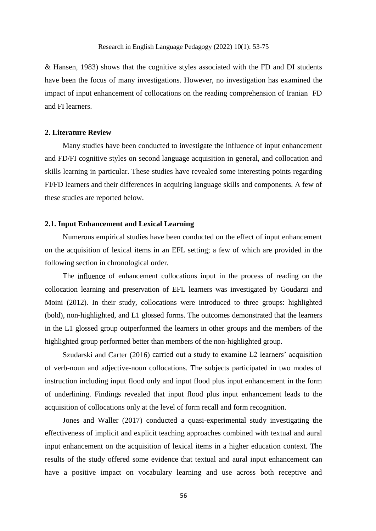& Hansen, 1983) shows that the cognitive styles associated with the FD and DI students have been the focus of many investigations. However, no investigation has examined the impact of input enhancement of collocations on the reading comprehension of Iranian FD and FI learners.

#### **2. Literature Review**

Many studies have been conducted to investigate the influence of input enhancement and FD/FI cognitive styles on second language acquisition in general, and collocation and skills learning in particular. These studies have revealed some interesting points regarding FI/FD learners and their differences in acquiring language skills and components. A few of these studies are reported below.

# **2.1. Input Enhancement and Lexical Learning**

Numerous empirical studies have been conducted on the effect of input enhancement on the acquisition of lexical items in an EFL setting; a few of which are provided in the following section in chronological order.

The influence of enhancement collocations input in the process of reading on the collocation learning and preservation of EFL learners was investigated by Goudarzi and Moini (2012). In their study, collocations were introduced to three groups: highlighted (bold), non-highlighted, and L1 glossed forms. The outcomes demonstrated that the learners in the L1 glossed group outperformed the learners in other groups and the members of the highlighted group performed better than members of the non-highlighted group.

Szudarski and Carter (2016) carried out a study to examine L2 learners' acquisition of verb-noun and adjective-noun collocations. The subjects participated in two modes of instruction including input flood only and input flood plus input enhancement in the form of underlining. Findings revealed that input flood plus input enhancement leads to the acquisition of collocations only at the level of form recall and form recognition.

Jones and Waller (2017) conducted a quasi-experimental study investigating the effectiveness of implicit and explicit teaching approaches combined with textual and aural input enhancement on the acquisition of lexical items in a higher education context. The results of the study offered some evidence that textual and aural input enhancement can have a positive impact on vocabulary learning and use across both receptive and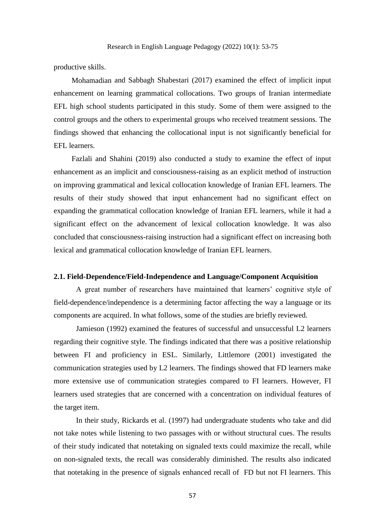productive skills.

Mohamadian and Sabbagh Shabestari (2017) examined the effect of implicit input enhancement on learning grammatical collocations. Two groups of Iranian intermediate EFL high school students participated in this study. Some of them were assigned to the control groups and the others to experimental groups who received treatment sessions. The findings showed that enhancing the collocational input is not significantly beneficial for EFL learners.

Fazlali and Shahini (2019) also conducted a study to examine the effect of input enhancement as an implicit and consciousness-raising as an explicit method of instruction on improving grammatical and lexical collocation knowledge of Iranian EFL learners. The results of their study showed that input enhancement had no significant effect on expanding the grammatical collocation knowledge of Iranian EFL learners, while it had a significant effect on the advancement of lexical collocation knowledge. It was also concluded that consciousness-raising instruction had a significant effect on increasing both lexical and grammatical collocation knowledge of Iranian EFL learners.

#### **2.1. Field-Dependence/Field-Independence and Language/Component Acquisition**

A great number of researchers have maintained that learners' cognitive style of field-dependence/independence is a determining factor affecting the way a language or its components are acquired. In what follows, some of the studies are briefly reviewed.

Jamieson (1992) examined the features of successful and unsuccessful L2 learners regarding their cognitive style. The findings indicated that there was a positive relationship between FI and proficiency in ESL. Similarly, Littlemore (2001) investigated the communication strategies used by L2 learners. The findings showed that FD learners make more extensive use of communication strategies compared to FI learners. However, FI learners used strategies that are concerned with a concentration on individual features of the target item.

In their study, Rickards et al. (1997) had undergraduate students who take and did not take notes while listening to two passages with or without structural cues. The results of their study indicated that notetaking on signaled texts could maximize the recall, while on non-signaled texts, the recall was considerably diminished. The results also indicated that notetaking in the presence of signals enhanced recall of FD but not FI learners. This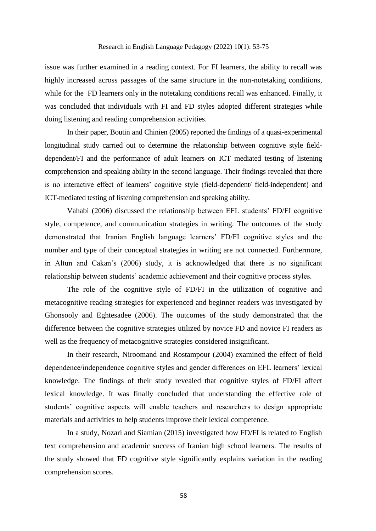issue was further examined in a reading context. For FI learners, the ability to recall was highly increased across passages of the same structure in the non-notetaking conditions, while for the FD learners only in the notetaking conditions recall was enhanced. Finally, it was concluded that individuals with FI and FD styles adopted different strategies while doing listening and reading comprehension activities.

In their paper, Boutin and Chinien (2005) reported the findings of a quasi-experimental longitudinal study carried out to determine the relationship between cognitive style fielddependent/FI and the performance of adult learners on ICT mediated testing of listening comprehension and speaking ability in the second language. Their findings revealed that there is no interactive effect of learners' cognitive style (field-dependent/ field-independent) and ICT-mediated testing of listening comprehension and speaking ability.

Vahabi (2006) discussed the relationship between EFL students' FD/FI cognitive style, competence, and communication strategies in writing. The outcomes of the study demonstrated that Iranian English language learners' FD/FI cognitive styles and the number and type of their conceptual strategies in writing are not connected. Furthermore, in Altun and Cakan's (2006) study, it is acknowledged that there is no significant relationship between students' academic achievement and their cognitive process styles.

The role of the cognitive style of FD/FI in the utilization of cognitive and metacognitive reading strategies for experienced and beginner readers was investigated by Ghonsooly and Eghtesadee (2006). The outcomes of the study demonstrated that the difference between the cognitive strategies utilized by novice FD and novice FI readers as well as the frequency of metacognitive strategies considered insignificant.

In their research, Niroomand and Rostampour (2004) examined the effect of field dependence/independence cognitive styles and gender differences on EFL learners' lexical knowledge. The findings of their study revealed that cognitive styles of FD/FI affect lexical knowledge. It was finally concluded that understanding the effective role of students' cognitive aspects will enable teachers and researchers to design appropriate materials and activities to help students improve their lexical competence.

In a study, Nozari and Siamian (2015) investigated how FD/FI is related to English text comprehension and academic success of Iranian high school learners. The results of the study showed that FD cognitive style significantly explains variation in the reading comprehension scores.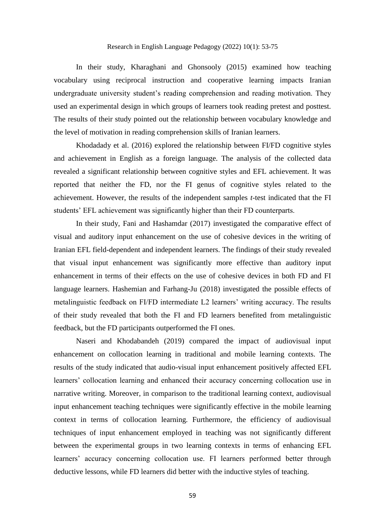In their study, Kharaghani and Ghonsooly (2015) examined how teaching vocabulary using reciprocal instruction and cooperative learning impacts Iranian undergraduate university student's reading comprehension and reading motivation. They used an experimental design in which groups of learners took reading pretest and posttest. The results of their study pointed out the relationship between vocabulary knowledge and the level of motivation in reading comprehension skills of Iranian learners.

Khodadady et al. (2016) explored the relationship between FI/FD cognitive styles and achievement in English as a foreign language. The analysis of the collected data revealed a significant relationship between cognitive styles and EFL achievement. It was reported that neither the FD, nor the FI genus of cognitive styles related to the achievement. However, the results of the independent samples *t-*test indicated that the FI students' EFL achievement was significantly higher than their FD counterparts.

In their study, Fani and Hashamdar (2017) investigated the comparative effect of visual and auditory input enhancement on the use of cohesive devices in the writing of Iranian EFL field-dependent and independent learners. The findings of their study revealed that visual input enhancement was significantly more effective than auditory input enhancement in terms of their effects on the use of cohesive devices in both FD and FI language learners. Hashemian and Farhang-Ju (2018) investigated the possible effects of metalinguistic feedback on FI/FD intermediate L2 learners' writing accuracy. The results of their study revealed that both the FI and FD learners benefited from metalinguistic feedback, but the FD participants outperformed the FI ones.

Naseri and Khodabandeh (2019) compared the impact of audiovisual input enhancement on collocation learning in traditional and mobile learning contexts. The results of the study indicated that audio-visual input enhancement positively affected EFL learners' collocation learning and enhanced their accuracy concerning collocation use in narrative writing. Moreover, in comparison to the traditional learning context, audiovisual input enhancement teaching techniques were significantly effective in the mobile learning context in terms of collocation learning. Furthermore, the efficiency of audiovisual techniques of input enhancement employed in teaching was not significantly different between the experimental groups in two learning contexts in terms of enhancing EFL learners' accuracy concerning collocation use. FI learners performed better through deductive lessons, while FD learners did better with the inductive styles of teaching.

59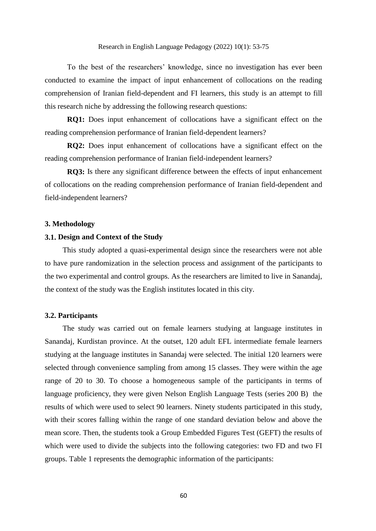To the best of the researchers' knowledge, since no investigation has ever been conducted to examine the impact of input enhancement of collocations on the reading comprehension of Iranian field-dependent and FI learners, this study is an attempt to fill this research niche by addressing the following research questions:

**RQ1:** Does input enhancement of collocations have a significant effect on the reading comprehension performance of Iranian field-dependent learners?

**RQ2:** Does input enhancement of collocations have a significant effect on the reading comprehension performance of Iranian field-independent learners?

**RQ3:** Is there any significant difference between the effects of input enhancement of collocations on the reading comprehension performance of Iranian field-dependent and field-independent learners?

#### **3. Methodology**

#### **3.1. Design and Context of the Study**

This study adopted a quasi-experimental design since the researchers were not able to have pure randomization in the selection process and assignment of the participants to the two experimental and control groups. As the researchers are limited to live in Sanandaj, the context of the study was the English institutes located in this city.

# **3.2. Participants**

The study was carried out on female learners studying at language institutes in Sanandaj, Kurdistan province. At the outset, 120 adult EFL intermediate female learners studying at the language institutes in Sanandaj were selected. The initial 120 learners were selected through convenience sampling from among 15 classes. They were within the age range of 20 to 30. To choose a homogeneous sample of the participants in terms of language proficiency, they were given Nelson English Language Tests (series 200 B) the results of which were used to select 90 learners. Ninety students participated in this study, with their scores falling within the range of one standard deviation below and above the mean score. Then, the students took a Group Embedded Figures Test (GEFT) the results of which were used to divide the subjects into the following categories: two FD and two FI groups. Table 1 represents the demographic information of the participants: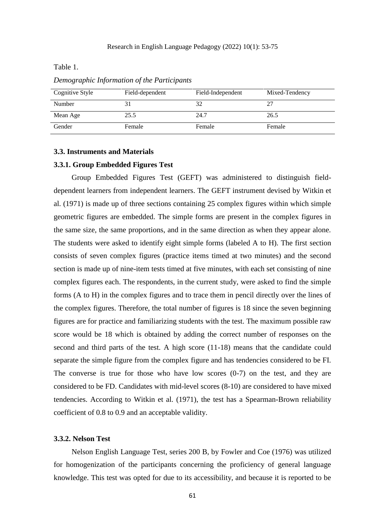Table 1.

| Cognitive Style | Field-dependent | Field-Independent | Mixed-Tendency |
|-----------------|-----------------|-------------------|----------------|
| Number          |                 |                   |                |
| Mean Age        | 25.5            | 24.7              | 26.5           |
| Gender          | Female          | Female            | Female         |

*Demographic Information of the Participants* 

#### **3.3. Instruments and Materials**

#### **3.3.1. Group Embedded Figures Test**

Group Embedded Figures Test (GEFT) was administered to distinguish fielddependent learners from independent learners. The GEFT instrument devised by Witkin et al. (1971) is made up of three sections containing 25 complex figures within which simple geometric figures are embedded. The simple forms are present in the complex figures in the same size, the same proportions, and in the same direction as when they appear alone. The students were asked to identify eight simple forms (labeled A to H). The first section consists of seven complex figures (practice items timed at two minutes) and the second section is made up of nine-item tests timed at five minutes, with each set consisting of nine complex figures each. The respondents, in the current study, were asked to find the simple forms (A to H) in the complex figures and to trace them in pencil directly over the lines of the complex figures. Therefore, the total number of figures is 18 since the seven beginning figures are for practice and familiarizing students with the test. The maximum possible raw score would be 18 which is obtained by adding the correct number of responses on the second and third parts of the test. A high score (11-18) means that the candidate could separate the simple figure from the complex figure and has tendencies considered to be FI. The converse is true for those who have low scores  $(0-7)$  on the test, and they are considered to be FD. Candidates with mid-level scores (8-10) are considered to have mixed tendencies. According to Witkin et al. (1971), the test has a Spearman-Brown reliability coefficient of 0.8 to 0.9 and an acceptable validity.

### **3.3.2. Nelson Test**

Nelson English Language Test, series 200 B, by Fowler and Coe (1976) was utilized for homogenization of the participants concerning the proficiency of general language knowledge. This test was opted for due to its accessibility, and because it is reported to be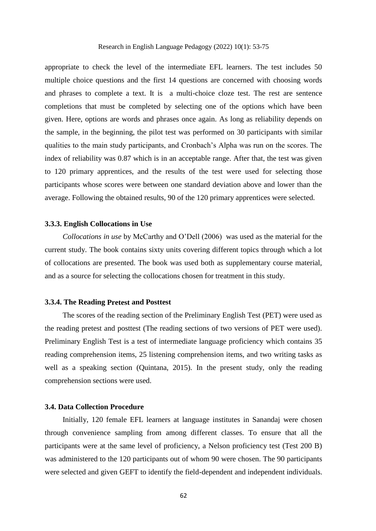appropriate to check the level of the intermediate EFL learners. The test includes 50 multiple choice questions and the first 14 questions are concerned with choosing words and phrases to complete a text. It is a multi-choice cloze test. The rest are sentence completions that must be completed by selecting one of the options which have been given. Here, options are words and phrases once again. As long as reliability depends on the sample, in the beginning, the pilot test was performed on 30 participants with similar qualities to the main study participants, and Cronbach's Alpha was run on the scores. The index of reliability was 0.87 which is in an acceptable range. After that, the test was given to 120 primary apprentices, and the results of the test were used for selecting those participants whose scores were between one standard deviation above and lower than the average. Following the obtained results, 90 of the 120 primary apprentices were selected.

# **3.3.3. English Collocations in Use**

*Collocations in use* by McCarthy and O'Dell (2006) was used as the material for the current study. The book contains sixty units covering different topics through which a lot of collocations are presented. The book was used both as supplementary course material, and as a source for selecting the collocations chosen for treatment in this study.

#### **3.3.4. The Reading Pretest and Posttest**

The scores of the reading section of the Preliminary English Test (PET) were used as the reading pretest and posttest (The reading sections of two versions of PET were used). Preliminary English Test is a test of intermediate language proficiency which contains 35 reading comprehension items, 25 listening comprehension items, and two writing tasks as well as a speaking section (Quintana, 2015). In the present study, only the reading comprehension sections were used.

# **3.4. Data Collection Procedure**

Initially, 120 female EFL learners at language institutes in Sanandaj were chosen through convenience sampling from among different classes. To ensure that all the participants were at the same level of proficiency, a Nelson proficiency test (Test 200 B) was administered to the 120 participants out of whom 90 were chosen. The 90 participants were selected and given GEFT to identify the field-dependent and independent individuals.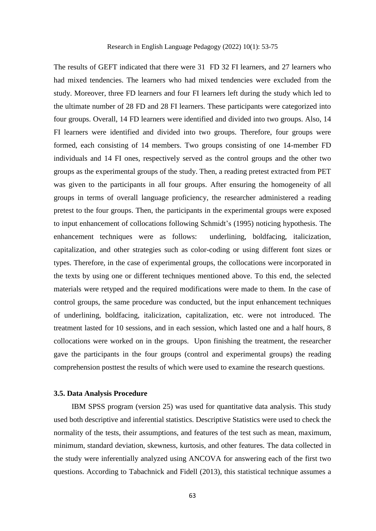The results of GEFT indicated that there were 31 FD 32 FI learners, and 27 learners who had mixed tendencies. The learners who had mixed tendencies were excluded from the study. Moreover, three FD learners and four FI learners left during the study which led to the ultimate number of 28 FD and 28 FI learners. These participants were categorized into four groups. Overall, 14 FD learners were identified and divided into two groups. Also, 14 FI learners were identified and divided into two groups. Therefore, four groups were formed, each consisting of 14 members. Two groups consisting of one 14-member FD individuals and 14 FI ones, respectively served as the control groups and the other two groups as the experimental groups of the study. Then, a reading pretest extracted from PET was given to the participants in all four groups. After ensuring the homogeneity of all groups in terms of overall language proficiency, the researcher administered a reading pretest to the four groups. Then, the participants in the experimental groups were exposed to input enhancement of collocations following Schmidt's (1995) noticing hypothesis. The enhancement techniques were as follows: underlining, boldfacing, italicization, capitalization, and other strategies such as color-coding or using different font sizes or types. Therefore, in the case of experimental groups, the collocations were incorporated in the texts by using one or different techniques mentioned above. To this end, the selected materials were retyped and the required modifications were made to them. In the case of control groups, the same procedure was conducted, but the input enhancement techniques of underlining, boldfacing, italicization, capitalization, etc. were not introduced. The treatment lasted for 10 sessions, and in each session, which lasted one and a half hours, 8 collocations were worked on in the groups. Upon finishing the treatment, the researcher gave the participants in the four groups (control and experimental groups) the reading comprehension posttest the results of which were used to examine the research questions.

# **3.5. Data Analysis Procedure**

IBM SPSS program (version 25) was used for quantitative data analysis. This study used both descriptive and inferential statistics. Descriptive Statistics were used to check the normality of the tests, their assumptions, and features of the test such as mean, maximum, minimum, standard deviation, skewness, kurtosis, and other features. The data collected in the study were inferentially analyzed using ANCOVA for answering each of the first two questions. According to Tabachnick and Fidell (2013), this statistical technique assumes a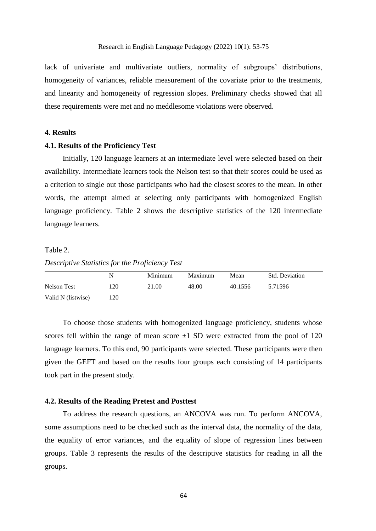lack of univariate and multivariate outliers, normality of subgroups' distributions, homogeneity of variances, reliable measurement of the covariate prior to the treatments, and linearity and homogeneity of regression slopes. Preliminary checks showed that all these requirements were met and no meddlesome violations were observed.

#### **4. Results**

# **4.1. Results of the Proficiency Test**

Initially, 120 language learners at an intermediate level were selected based on their availability. Intermediate learners took the Nelson test so that their scores could be used as a criterion to single out those participants who had the closest scores to the mean. In other words, the attempt aimed at selecting only participants with homogenized English language proficiency. Table 2 shows the descriptive statistics of the 120 intermediate language learners.

#### Table 2.

#### *Descriptive Statistics for the Proficiency Test*

|                    | N   | Minimum | Maximum | Mean    | Std. Deviation |
|--------------------|-----|---------|---------|---------|----------------|
| Nelson Test        | 120 | 21.00   | 48.00   | 40.1556 | 5.71596        |
| Valid N (listwise) | 120 |         |         |         |                |

To choose those students with homogenized language proficiency, students whose scores fell within the range of mean score  $\pm 1$  SD were extracted from the pool of 120 language learners. To this end, 90 participants were selected. These participants were then given the GEFT and based on the results four groups each consisting of 14 participants took part in the present study.

#### **4.2. Results of the Reading Pretest and Posttest**

To address the research questions, an ANCOVA was run. To perform ANCOVA, some assumptions need to be checked such as the interval data, the normality of the data, the equality of error variances, and the equality of slope of regression lines between groups. Table 3 represents the results of the descriptive statistics for reading in all the groups.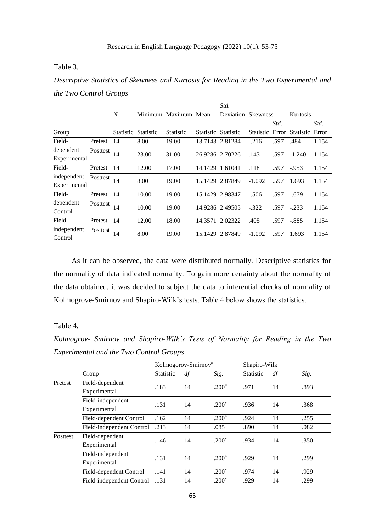# Table 3.

*Descriptive Statistics of Skewness and Kurtosis for Reading in the Two Experimental and the Two Control Groups*

|                             |          |     |                     |                      |         | Std.                |          |      |                           |       |
|-----------------------------|----------|-----|---------------------|----------------------|---------|---------------------|----------|------|---------------------------|-------|
|                             |          | N   |                     | Minimum Maximum Mean |         | Deviation Skewness  |          |      | Kurtosis                  |       |
|                             |          |     |                     |                      |         |                     |          | Std. |                           | Std.  |
| Group                       |          |     | Statistic Statistic | Statistic            |         | Statistic Statistic |          |      | Statistic Error Statistic | Error |
| Field-                      | Pretest  | 14  | 8.00                | 19.00                |         | 13.7143 2.81284     | $-.216$  | .597 | .484                      | 1.154 |
| dependent<br>Experimental   | Posttest | 14  | 23.00               | 31.00                |         | 26.9286 2.70226     | .143     | .597 | $-1.240$                  | 1.154 |
| Field-                      | Pretest  | 14  | 12.00               | 17.00                |         | 14.1429 1.61041     | .118     | .597 | $-953$                    | 1.154 |
| independent<br>Experimental | Posttest | 14  | 8.00                | 19.00                |         | 15.1429 2.87849     | $-1.092$ | .597 | 1.693                     | 1.154 |
| Field-                      | Pretest  | -14 | 10.00               | 19.00                |         | 15.1429 2.98347     | $-.506$  | .597 | $-.679$                   | 1.154 |
| dependent<br>Control        | Posttest | 14  | 10.00               | 19.00                |         | 14.9286 2.49505     | $-.322$  | .597 | $-.233$                   | 1.154 |
| Field-                      | Pretest  | 14  | 12.00               | 18.00                | 14.3571 | 2.02322             | .405     | .597 | $-.885$                   | 1.154 |
| independent<br>Control      | Posttest | 14  | 8.00                | 19.00                | 15.1429 | 2.87849             | $-1.092$ | .597 | 1.693                     | 1.154 |

As it can be observed, the data were distributed normally. Descriptive statistics for the normality of data indicated normality. To gain more certainty about the normality of the data obtained, it was decided to subject the data to inferential checks of normality of Kolmogrove-Smirnov and Shapiro-Wilk's tests. Table 4 below shows the statistics.

# Table 4.

*Kolmogrov- Smirnov and Shapiro-Wilk's Tests of Normality for Reading in the Two Experimental and the Two Control Groups*

|          |                           |                  | Kolmogorov-Smirnov <sup>a</sup> |         |                  | Shapiro-Wilk |      |
|----------|---------------------------|------------------|---------------------------------|---------|------------------|--------------|------|
|          | Group                     | <b>Statistic</b> | df                              | Sig.    | <b>Statistic</b> | df           | Sig. |
| Pretest  | Field-dependent           | .183             | 14                              | $.200*$ | .971             | 14           | .893 |
|          | Experimental              |                  |                                 |         |                  |              |      |
|          | Field-independent         | .131             | 14                              | $.200*$ | .936             | 14           | .368 |
|          | Experimental              |                  |                                 |         |                  |              |      |
|          | Field-dependent Control   | .162             | 14                              | $.200*$ | .924             | 14           | .255 |
|          | Field-independent Control | .213             | 14                              | .085    | .890             | 14           | .082 |
| Posttest | Field-dependent           | .146             | 14                              | $.200*$ | .934             | 14           | .350 |
|          | Experimental              |                  |                                 |         |                  |              |      |
|          | Field-independent         | .131             |                                 | $.200*$ |                  | 14           | .299 |
|          | Experimental              |                  | 14                              |         | .929             |              |      |
|          | Field-dependent Control   | .141             | 14                              | $.200*$ | .974             | 14           | .929 |
|          | Field-independent Control | .131             | 14                              | $.200*$ | .929             | 14           | .299 |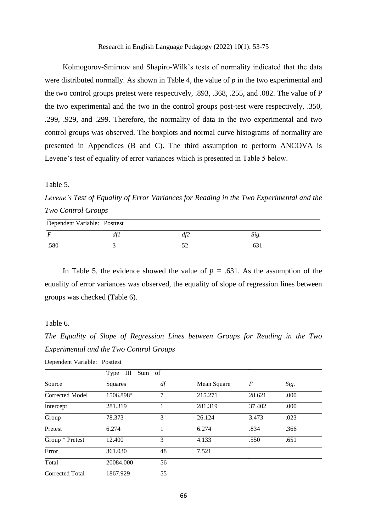Kolmogorov-Smirnov and Shapiro-Wilk's tests of normality indicated that the data were distributed normally. As shown in Table 4, the value of *p* in the two experimental and the two control groups pretest were respectively, .893, .368, .255, and .082. The value of P the two experimental and the two in the control groups post-test were respectively, .350, .299, .929, and .299. Therefore, the normality of data in the two experimental and two control groups was observed. The boxplots and normal curve histograms of normality are presented in Appendices (B and C). The third assumption to perform ANCOVA is Levene's test of equality of error variances which is presented in Table 5 below.

Table 5.

*Levene's Test of Equality of Error Variances for Reading in the Two Experimental and the Two Control Groups*

| Dependent Variable: Posttest |  |     |      |  |  |  |
|------------------------------|--|-----|------|--|--|--|
|                              |  | df2 | Sig. |  |  |  |
| .580                         |  |     |      |  |  |  |

In Table 5, the evidence showed the value of  $p = .631$ . As the assumption of the equality of error variances was observed, the equality of slope of regression lines between groups was checked (Table 6).

Table 6.

*The Equality of Slope of Regression Lines between Groups for Reading in the Two Experimental and the Two Control Groups*

| Dependent Variable: Posttest |                       |    |             |        |      |
|------------------------------|-----------------------|----|-------------|--------|------|
|                              | Type III Sum of       |    |             |        |      |
| Source                       | Squares               | df | Mean Square | F      | Sig. |
| <b>Corrected Model</b>       | 1506.898 <sup>a</sup> | 7  | 215.271     | 28.621 | .000 |
| Intercept                    | 281.319               | 1  | 281.319     | 37.402 | .000 |
| Group                        | 78.373                | 3  | 26.124      | 3.473  | .023 |
| Pretest                      | 6.274                 | 1  | 6.274       | .834   | .366 |
| Group * Pretest              | 12.400                | 3  | 4.133       | .550   | .651 |
| Error                        | 361.030               | 48 | 7.521       |        |      |
| Total                        | 20084.000             | 56 |             |        |      |
| <b>Corrected Total</b>       | 1867.929              | 55 |             |        |      |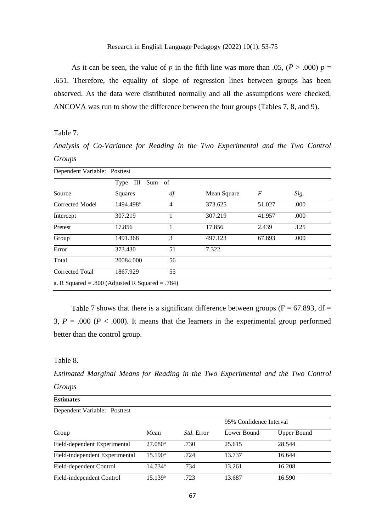As it can be seen, the value of *p* in the fifth line was more than .05,  $(P > .000) p =$ .651. Therefore, the equality of slope of regression lines between groups has been observed. As the data were distributed normally and all the assumptions were checked, ANCOVA was run to show the difference between the four groups (Tables 7, 8, and 9).

Table 7.

*Analysis of Co-Variance for Reading in the Two Experimental and the Two Control Groups*

| Dependent Variable: Posttest                         |                       |                |             |        |      |  |  |
|------------------------------------------------------|-----------------------|----------------|-------------|--------|------|--|--|
|                                                      | Type III              | Sum of         |             |        |      |  |  |
| Source                                               | Squares               | df             | Mean Square | F      | Sig. |  |  |
| <b>Corrected Model</b>                               | 1494.498 <sup>a</sup> | $\overline{4}$ | 373.625     | 51.027 | .000 |  |  |
| Intercept                                            | 307.219               |                | 307.219     | 41.957 | .000 |  |  |
| Pretest                                              | 17.856                |                | 17.856      | 2.439  | .125 |  |  |
| Group                                                | 1491.368              | 3              | 497.123     | 67.893 | .000 |  |  |
| Error                                                | 373.430               | 51             | 7.322       |        |      |  |  |
| Total                                                | 20084.000             | 56             |             |        |      |  |  |
| <b>Corrected Total</b>                               | 1867.929              | 55             |             |        |      |  |  |
| a. R Squared = $.800$ (Adjusted R Squared = $.784$ ) |                       |                |             |        |      |  |  |

Table 7 shows that there is a significant difference between groups ( $F = 67.893$ , df = 3,  $P = .000$  ( $P < .000$ ). It means that the learners in the experimental group performed better than the control group.

### Table 8.

*Estimated Marginal Means for Reading in the Two Experimental and the Two Control Groups*

| <b>Estimates</b>               |                       |                   |                         |                    |  |  |  |  |
|--------------------------------|-----------------------|-------------------|-------------------------|--------------------|--|--|--|--|
| Dependent Variable: Posttest   |                       |                   |                         |                    |  |  |  |  |
|                                |                       |                   | 95% Confidence Interval |                    |  |  |  |  |
| Group                          | Mean                  | <i>Std.</i> Error | Lower Bound             | <b>Upper Bound</b> |  |  |  |  |
| Field-dependent Experimental   | $27.080$ <sup>a</sup> | .730              | 25.615                  | 28.544             |  |  |  |  |
| Field-independent Experimental | $15.190^{\rm a}$      | .724              | 13.737                  | 16.644             |  |  |  |  |
| Field-dependent Control        | 14.734 <sup>a</sup>   | .734              | 13.261                  | 16.208             |  |  |  |  |
| Field-independent Control      | 15.139 <sup>a</sup>   | .723              | 13.687                  | 16.590             |  |  |  |  |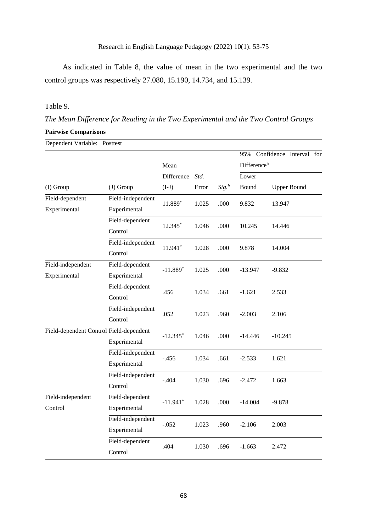As indicated in Table 8, the value of mean in the two experimental and the two control groups was respectively 27.080, 15.190, 14.734, and 15.139.

# Table 9.

*The Mean Difference for Reading in the Two Experimental and the Two Control Groups*

| <b>Pairwise Comparisons</b>             |                   |            |               |                     |                             |                    |  |
|-----------------------------------------|-------------------|------------|---------------|---------------------|-----------------------------|--------------------|--|
| Dependent Variable: Posttest            |                   |            |               |                     |                             |                    |  |
|                                         |                   |            |               |                     | 95% Confidence Interval for |                    |  |
|                                         |                   | Mean       |               |                     | Differenceb                 |                    |  |
|                                         |                   | Difference | Std.          |                     | Lower                       |                    |  |
| (I) Group                               | (J) Group         | $(I-J)$    | Error         | $Sig.$ <sup>b</sup> | Bound                       | <b>Upper Bound</b> |  |
| Field-dependent                         | Field-independent | 11.889*    | 1.025         | .000                | 9.832                       | 13.947             |  |
| Experimental                            | Experimental      |            |               |                     |                             |                    |  |
|                                         | Field-dependent   | 12.345*    | 1.046         | .000                | 10.245                      | 14.446             |  |
|                                         | Control           |            |               |                     |                             |                    |  |
|                                         | Field-independent | 11.941*    | .000<br>1.028 | 9.878               | 14.004                      |                    |  |
|                                         | Control           |            |               |                     |                             |                    |  |
| Field-independent                       | Field-dependent   | $-11.889*$ | 1.025         | .000                | $-13.947$                   | $-9.832$           |  |
| Experimental                            | Experimental      |            |               |                     |                             |                    |  |
|                                         | Field-dependent   | .456       | 1.034         | .661                | $-1.621$                    | 2.533              |  |
|                                         | Control           |            |               |                     |                             |                    |  |
|                                         | Field-independent | .052       | 1.023         | .960                | $-2.003$                    | 2.106              |  |
|                                         | Control           |            |               |                     |                             |                    |  |
| Field-dependent Control Field-dependent |                   | $-12.345*$ | 1.046         | .000                | $-14.446$                   | $-10.245$          |  |
|                                         | Experimental      |            |               |                     |                             |                    |  |
|                                         | Field-independent | $-.456$    | 1.034         | .661                | $-2.533$                    | 1.621              |  |
|                                         | Experimental      |            |               |                     |                             |                    |  |
|                                         | Field-independent | $-.404$    | 1.030         | .696                | $-2.472$                    | 1.663              |  |
|                                         | Control           |            |               |                     |                             |                    |  |
| Field-independent                       | Field-dependent   | $-11.941*$ | 1.028         | .000                | $-14.004$                   | $-9.878$           |  |
| Control                                 | Experimental      |            |               |                     |                             |                    |  |
|                                         | Field-independent | $-.052$    | 1.023         | .960                | $-2.106$                    | 2.003              |  |
|                                         | Experimental      |            |               |                     |                             |                    |  |
|                                         | Field-dependent   | .404       | 1.030         | .696                | $-1.663$                    | 2.472              |  |
|                                         | Control           |            |               |                     |                             |                    |  |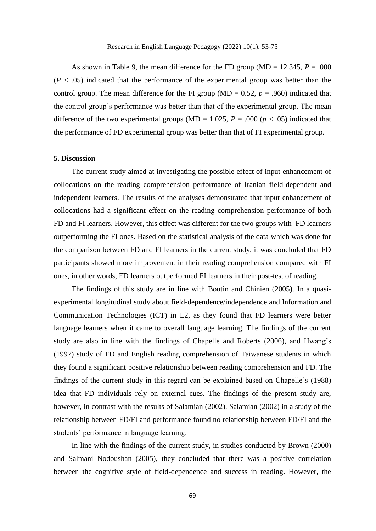As shown in Table 9, the mean difference for the FD group ( $MD = 12.345$ ,  $P = .000$ )  $(P < .05)$  indicated that the performance of the experimental group was better than the control group. The mean difference for the FI group ( $MD = 0.52$ ,  $p = .960$ ) indicated that the control group's performance was better than that of the experimental group. The mean difference of the two experimental groups (MD = 1.025,  $P = .000$  ( $p < .05$ ) indicated that the performance of FD experimental group was better than that of FI experimental group.

# **5. Discussion**

The current study aimed at investigating the possible effect of input enhancement of collocations on the reading comprehension performance of Iranian field-dependent and independent learners. The results of the analyses demonstrated that input enhancement of collocations had a significant effect on the reading comprehension performance of both FD and FI learners. However, this effect was different for the two groups with FD learners outperforming the FI ones. Based on the statistical analysis of the data which was done for the comparison between FD and FI learners in the current study, it was concluded that FD participants showed more improvement in their reading comprehension compared with FI ones, in other words, FD learners outperformed FI learners in their post-test of reading.

The findings of this study are in line with Boutin and Chinien (2005). In a quasiexperimental longitudinal study about field-dependence/independence and Information and Communication Technologies (ICT) in L2, as they found that FD learners were better language learners when it came to overall language learning. The findings of the current study are also in line with the findings of Chapelle and Roberts (2006), and Hwang's (1997) study of FD and English reading comprehension of Taiwanese students in which they found a significant positive relationship between reading comprehension and FD. The findings of the current study in this regard can be explained based on Chapelle's (1988) idea that FD individuals rely on external cues. The findings of the present study are, however, in contrast with the results of Salamian (2002). Salamian (2002) in a study of the relationship between FD/FI and performance found no relationship between FD/FI and the students' performance in language learning.

In line with the findings of the current study, in studies conducted by Brown (2000) and Salmani Nodoushan (2005), they concluded that there was a positive correlation between the cognitive style of field-dependence and success in reading. However, the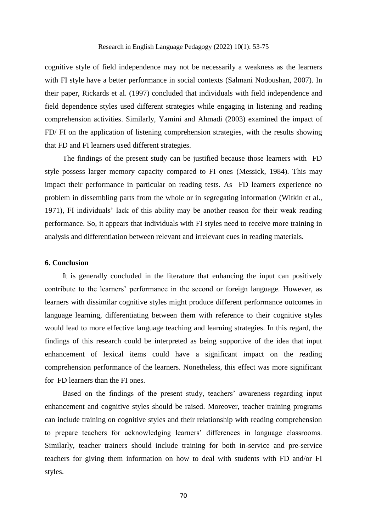cognitive style of field independence may not be necessarily a weakness as the learners with FI style have a better performance in social contexts (Salmani Nodoushan, 2007). In their paper, Rickards et al. (1997) concluded that individuals with field independence and field dependence styles used different strategies while engaging in listening and reading comprehension activities. Similarly, Yamini and Ahmadi (2003) examined the impact of FD/ FI on the application of listening comprehension strategies, with the results showing that FD and FI learners used different strategies.

The findings of the present study can be justified because those learners with FD style possess larger memory capacity compared to FI ones (Messick, 1984). This may impact their performance in particular on reading tests. As FD learners experience no problem in dissembling parts from the whole or in segregating information (Witkin et al., 1971), FI individuals' lack of this ability may be another reason for their weak reading performance. So, it appears that individuals with FI styles need to receive more training in analysis and differentiation between relevant and irrelevant cues in reading materials.

# **6. Conclusion**

It is generally concluded in the literature that enhancing the input can positively contribute to the learners' performance in the second or foreign language. However, as learners with dissimilar cognitive styles might produce different performance outcomes in language learning, differentiating between them with reference to their cognitive styles would lead to more effective language teaching and learning strategies. In this regard, the findings of this research could be interpreted as being supportive of the idea that input enhancement of lexical items could have a significant impact on the reading comprehension performance of the learners. Nonetheless, this effect was more significant for FD learners than the FI ones.

Based on the findings of the present study, teachers' awareness regarding input enhancement and cognitive styles should be raised. Moreover, teacher training programs can include training on cognitive styles and their relationship with reading comprehension to prepare teachers for acknowledging learners' differences in language classrooms. Similarly, teacher trainers should include training for both in-service and pre-service teachers for giving them information on how to deal with students with FD and/or FI styles.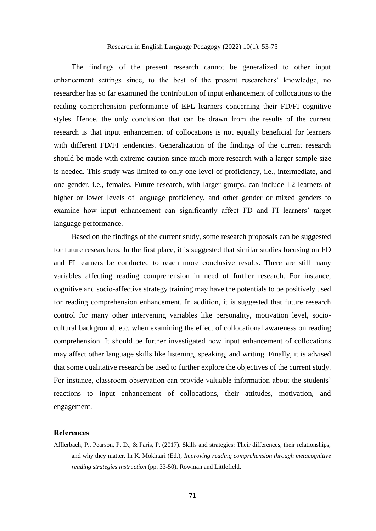The findings of the present research cannot be generalized to other input enhancement settings since, to the best of the present researchers' knowledge, no researcher has so far examined the contribution of input enhancement of collocations to the reading comprehension performance of EFL learners concerning their FD/FI cognitive styles. Hence, the only conclusion that can be drawn from the results of the current research is that input enhancement of collocations is not equally beneficial for learners with different FD/FI tendencies. Generalization of the findings of the current research should be made with extreme caution since much more research with a larger sample size is needed. This study was limited to only one level of proficiency, i.e., intermediate, and one gender, i.e., females. Future research, with larger groups, can include L2 learners of higher or lower levels of language proficiency, and other gender or mixed genders to examine how input enhancement can significantly affect FD and FI learners' target language performance.

Based on the findings of the current study, some research proposals can be suggested for future researchers. In the first place, it is suggested that similar studies focusing on FD and FI learners be conducted to reach more conclusive results. There are still many variables affecting reading comprehension in need of further research. For instance, cognitive and socio-affective strategy training may have the potentials to be positively used for reading comprehension enhancement. In addition, it is suggested that future research control for many other intervening variables like personality, motivation level, sociocultural background, etc. when examining the effect of collocational awareness on reading comprehension. It should be further investigated how input enhancement of collocations may affect other language skills like listening, speaking, and writing. Finally, it is advised that some qualitative research be used to further explore the objectives of the current study. For instance, classroom observation can provide valuable information about the students' reactions to input enhancement of collocations, their attitudes, motivation, and engagement.

#### **References**

Afflerbach, P., Pearson, P. D., & Paris, P. (2017). Skills and strategies: Their differences, their relationships, and why they matter. In K. Mokhtari (Ed.), *Improving reading comprehension through metacognitive reading strategies instruction* (pp. 33-50). Rowman and Littlefield.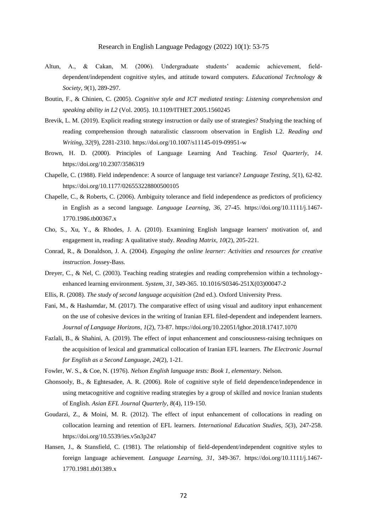- Altun, A., & Cakan, M. (2006). Undergraduate students' academic achievement, fielddependent/independent cognitive styles, and attitude toward computers. *Educational Technology & Society*, *9*(1), 289-297.
- Boutin, F., & Chinien, C. (2005). *Cognitive style and ICT mediated testing: Listening comprehension and speaking ability in L2* (Vol. 2005). [10.1109/ITHET.2005.1560245](https://doi.org/10.1109/ITHET.2005.1560245)
- Brevik, L. M. (2019). Explicit reading strategy instruction or daily use of strategies? Studying the teaching of reading comprehension through naturalistic classroom observation in English L2. *Reading and Writing*, *32*(9), 2281-2310.<https://doi.org/10.1007/s11145-019-09951-w>
- Brown, H. D. (2000). Principles of Language Learning And Teaching. *Tesol Quarterly*, *14*. <https://doi.org/10.2307/3586319>
- Chapelle, C. (1988). Field independence: A source of language test variance? *Language Testing*, *5*(1), 62-82. <https://doi.org/10.1177/026553228800500105>
- Chapelle, C., & Roberts, C. (2006). Ambiguity tolerance and field independence as predictors of proficiency in English as a second language. *Language Learning*, *36*, 27-45. [https://doi.org/10.1111/j.1467-](https://doi.org/10.1111/j.1467-1770.1986.tb00367.x) [1770.1986.tb00367.x](https://doi.org/10.1111/j.1467-1770.1986.tb00367.x)
- Cho, S., Xu, Y., & Rhodes, J. A. (2010). Examining English language learners' motivation of, and engagement in, reading: A qualitative study. *Reading Matrix*, *10*(2), 205-221.
- Conrad, R., & Donaldson, J. A. (2004). *Engaging the online learner: Activities and resources for creative instruction*. Jossey-Bass.
- Dreyer, C., & Nel, C. (2003). Teaching reading strategies and reading comprehension within a technologyenhanced learning environment. *System*, *31*, 349-365[. 10.1016/S0346-251X\(03\)00047-2](https://doi.org/10.1016/S0346-251X(03)00047-2)
- Ellis, R. (2008). *The study of second language acquisition* (2nd ed.). Oxford University Press.
- Fani, M., & Hashamdar, M. (2017). The comparative effect of using visual and auditory input enhancement on the use of cohesive devices in the writing of Iranian EFL filed-dependent and independent learners. *Journal of Language Horizons*, *1*(2), 73-87.<https://doi.org/10.22051/lghor.2018.17417.1070>
- Fazlali, B., & Shahini, A. (2019). The effect of input enhancement and consciousness-raising techniques on the acquisition of lexical and grammatical collocation of Iranian EFL learners. *The Electronic Journal for English as a Second Language*, *24*(2), 1-21.
- Fowler, W. S., & Coe, N. (1976). *Nelson English language tests: Book 1, elementary*. Nelson.
- Ghonsooly, B., & Eghtesadee, A. R. (2006). Role of cognitive style of field dependence/independence in using metacognitive and cognitive reading strategies by a group of skilled and novice Iranian students of English. *Asian EFL Journal Quarterly*, *8*(4), 119-150.
- Goudarzi, Z., & Moini, M. R. (2012). The effect of input enhancement of collocations in reading on collocation learning and retention of EFL learners. *International Education Studies*, *5*(3), 247-258. <https://doi.org/10.5539/ies.v5n3p247>
- Hansen, J., & Stansfield, C. (1981). The relationship of field-dependent/independent cognitive styles to foreign language achievement. *Language Learning*, *31*, 349-367. [https://doi.org/10.1111/j.1467-](https://doi.org/10.1111/j.1467-1770.1981.tb01389.x) [1770.1981.tb01389.x](https://doi.org/10.1111/j.1467-1770.1981.tb01389.x)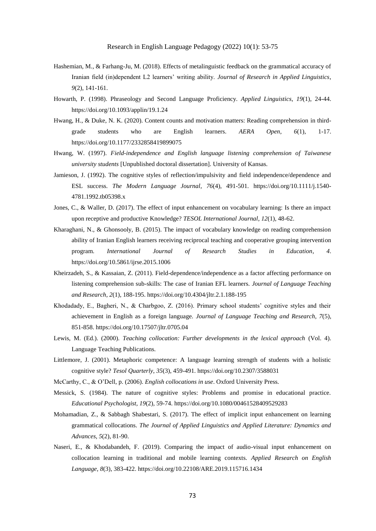- Hashemian, M., & Farhang-Ju, M. (2018). Effects of metalinguistic feedback on the grammatical accuracy of Iranian field (in)dependent L2 learners' writing ability. *Journal of Research in Applied Linguistics*, *9*(2), 141-161.
- Howarth, P. (1998). Phraseology and Second Language Proficiency. *Applied Linguistics*, *19*(1), 24-44. <https://doi.org/10.1093/applin/19.1.24>
- Hwang, H., & Duke, N. K. (2020). Content counts and motivation matters: Reading comprehension in thirdgrade students who are English learners. *AERA Open*, *6*(1), 1-17. <https://doi.org/10.1177/2332858419899075>
- Hwang, W. (1997). *Field-independence and English language listening comprehension of Taiwanese university students* [Unpublished doctoral dissertation]. University of Kansas.
- Jamieson, J. (1992). The cognitive styles of reflection/impulsivity and field independence/dependence and ESL success. *The Modern Language Journal*, *76*(4), 491-501. [https://doi.org/10.1111/j.1540-](https://doi.org/10.1111/j.1540-4781.1992.tb05398.x) [4781.1992.tb05398.x](https://doi.org/10.1111/j.1540-4781.1992.tb05398.x)
- Jones, C., & Waller, D. (2017). The effect of input enhancement on vocabulary learning: Is there an impact upon receptive and productive Knowledge? *TESOL International Journal*, *12*(1), 48-62.
- Kharaghani, N., & Ghonsooly, B. (2015). The impact of vocabulary knowledge on reading comprehension ability of Iranian English learners receiving reciprocal teaching and cooperative grouping intervention program. *International Journal of Research Studies in Education*, *4*. <https://doi.org/10.5861/ijrse.2015.1006>
- Kheirzadeh, S., & Kassaian, Z. (2011). Field-dependence/independence as a factor affecting performance on listening comprehension sub-skills: The case of Iranian EFL learners. *Journal of Language Teaching and Research*, *2*(1), 188-195.<https://doi.org/10.4304/jltr.2.1.188-195>
- Khodadady, E., Bagheri, N., & Charbgoo, Z. (2016). Primary school students' cognitive styles and their achievement in English as a foreign language. *Journal of Language Teaching and Research*, *7*(5), 851-858[. https://doi.org/10.17507/jltr.0705.04](https://doi.org/10.17507/jltr.0705.04)
- Lewis, M. (Ed.). (2000). *Teaching collocation: Further developments in the lexical approach* (Vol. 4). Language Teaching Publications.
- Littlemore, J. (2001). Metaphoric competence: A language learning strength of students with a holistic cognitive style? *Tesol Quarterly*, *35*(3), 459-491[. https://doi.org/10.2307/3588031](https://doi.org/10.2307/3588031)
- McCarthy, C., & O'Dell, p. (2006). *English collocations in use*. Oxford University Press.
- Messick, S. (1984). The nature of cognitive styles: Problems and promise in educational practice. *Educational Psychologist*, *19*(2), 59-74.<https://doi.org/10.1080/00461528409529283>
- Mohamadian, Z., & Sabbagh Shabestari, S. (2017). The effect of implicit input enhancement on learning grammatical collocations. *The Journal of Applied Linguistics and Applied Literature: Dynamics and Advances*, *5*(2), 81-90.
- Naseri, E., & Khodabandeh, F. (2019). Comparing the impact of audio-visual input enhancement on collocation learning in traditional and mobile learning contexts. *Applied Research on English Language*, *8*(3), 383-422.<https://doi.org/10.22108/ARE.2019.115716.1434>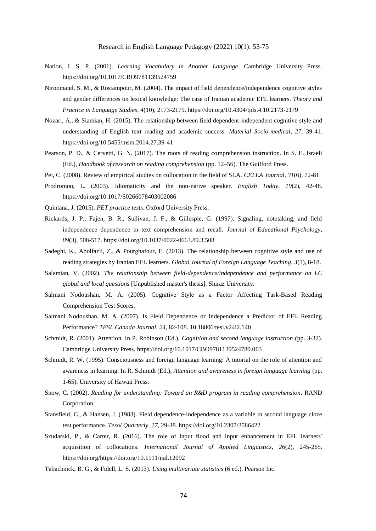- Nation, I. S. P. (2001). *Learning Vocabulary in Another Language*. Cambridge University Press. <https://doi.org/10.1017/CBO9781139524759>
- Niroomand, S. M., & Rostampour, M. (2004). The impact of field dependence/independence cognitive styles and gender differences on lexical knowledge: The case of Iranian academic EFL learners. *Theory and Practice in Language Studies*, *4*(10), 2173-2179.<https://doi.org/10.4304/tpls.4.10.2173-2179>
- Nozari, A., & Siamian, H. (2015). The relationship between field dependent-independent cognitive style and understanding of English text reading and academic success. *Material Socio-medical*, *27*, 39-41. <https://doi.org/10.5455/msm.2014.27.39-41>
- Pearson, P. D., & Cervetti, G. N. (2017). The roots of reading comprehension instruction. In S. E. Israeli (Ed.), *Handbook of research on reading comprehension* (pp. 12–56). The Guilford Press.
- Pei, C. (2008). Review of empirical studies on collocation in the field of SLA. *CELEA Journal*, *31*(6), 72-81.
- Prodromou, L. (2003). Idiomaticity and the non-native speaker. *English Today*, *19*(2), 42-48. <https://doi.org/10.1017/S0266078403002086>
- Quintana, J. (2015). *PET practice tests*. Oxford University Press.
- Rickards, J. P., Fajen, B. R., Sullivan, J. F., & Gillespie, G. (1997). Signaling, notetaking, and field independence–dependence in text comprehension and recall. *Journal of Educational Psychology*, *89*(3), 508-517.<https://doi.org/10.1037/0022-0663.89.3.508>
- Sadeghi, K., Abolfazli, Z., & Pourghafour, E. (2013). The relationship between cognitive style and use of reading strategies by Iranian EFL learners. *Global Journal of Foreign Language Teaching*, *3*(1), 8-18.
- Salamian, V. (2002). *The relationship between field-dependence/independence and performance on LC global and local questions* [Unpublished master's thesis]. Shiraz University.
- Salmani Nodoushan, M. A. (2005). Cognitive Style as a Factor Affecting Task-Based Reading Comprehension Test Scores.
- Salmani Nodoushan, M. A. (2007). Is Field Dependence or Independence a Predictor of EFL Reading Performance? *TESL Canada Journal*, *24*, 82-108[. 10.18806/tesl.v24i2.140](https://doi.org/10.18806/tesl.v24i2.140)
- Schmidt, R. (2001). Attention. In P. Robinson (Ed.), *Cognition and second language instruction* (pp. 3-32). Cambridge University Press.<https://doi.org/10.1017/CBO9781139524780.003>
- Schmidt, R. W. (1995). Consciousness and foreign language learning: A tutorial on the role of attention and awareness in learning. In R. Schmidt (Ed.), *Attention and awareness in foreign language learning* (pp. 1-65). University of Hawaii Press.
- Snow, C. (2002). *Reading for understanding: Toward an R&D program in reading comprehension*. RAND Corporation.
- Stansfield, C., & Hansen, J. (1983). Field dependence-independence as a variable in second language cloze test performance. *Tesol Quarterly*, *17*, 29-38. <https://doi.org/10.2307/3586422>
- Szudarski, P., & Carter, R. (2016). The role of input flood and input enhancement in EFL learners' acquisition of collocations. *International Journal of Applied Linguistics*, *26*(2), 245-265. [https://doi.org/https://doi.org/10.1111/ijal.12092](https://doi.org/https:/doi.org/10.1111/ijal.12092)
- Tabachnick, B. G., & Fidell, L. S. (2013). *Using multivariate statistics* (6 ed.). Pearson Inc.